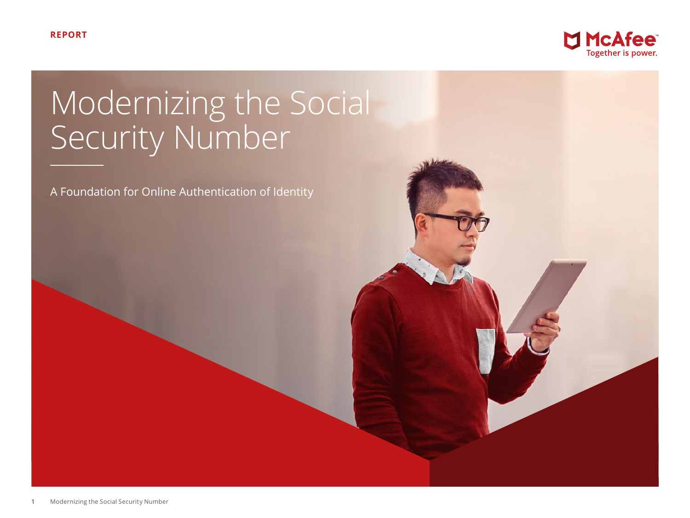

# Modernizing the Social Security Number

A Foundation for Online Authentication of Identity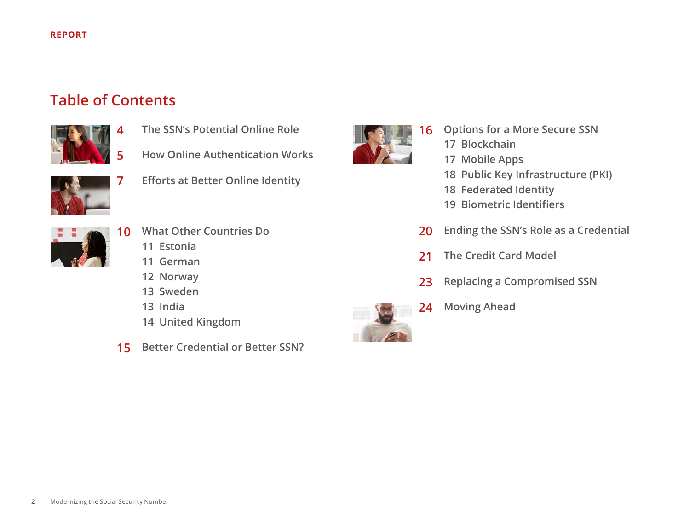# **Table of Contents**



- **[The SSN's Potential Online Role](#page-3-0)**
- **[How Online Authentication Works](#page-4-0)**



**[Efforts at Better Online Identity](#page-6-0)** 



- **[Options for a More Secure SSN](#page-15-0)**
	- **[Blockchain](#page-16-0)**
	- **[Mobile Apps](#page-16-0)**
	- **[Public Key Infrastructure \(PK](#page-17-0)I)**
	- **[Federated Identity](#page-17-0)**
	- **[Biometric Identifiers](#page-18-0)**
- **[Ending the SSN's Role as a Credential](#page-19-0)**
- **[The Credit Card Model](#page-20-0)**
- **[Replacing a Compromised SSN](#page-22-0)**
- **[Moving Ahead](#page-23-0)**



- **[What Other Countries Do](#page-9-0)** 
	- **[Estonia](#page-10-0)**
	- **[German](#page-10-0)**
	- **[Norway](#page-11-0)**
	- **[Sweden](#page-12-0)**
	- **[India](#page-12-0)**
	- **[United Kingdom](#page-13-0)**
- **[Better Credential or Better SSN?](#page-14-0)**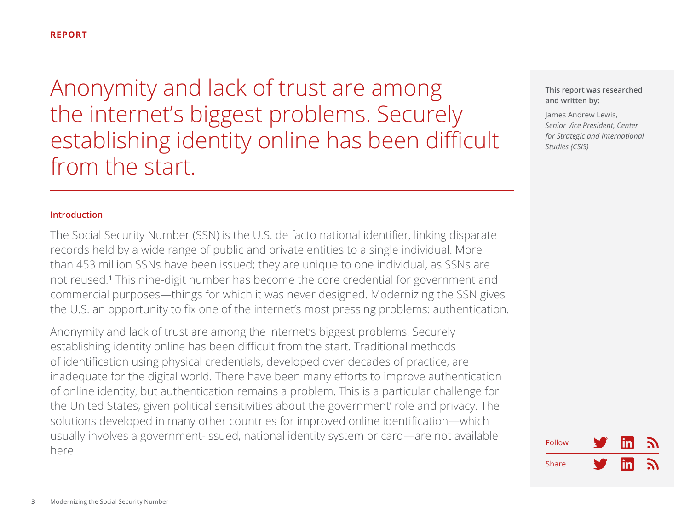Anonymity and lack of trust are among the internet's biggest problems. Securely establishing identity online has been difficult from the start.

# **Introduction**

The Social Security Number (SSN) is the U.S. de facto national identifier, linking disparate records held by a wide range of public and private entities to a single individual. More than 453 million SSNs have been issued; they are unique to one individual, as SSNs are not reused.<sup>1</sup> This nine-digit number has become the core credential for government and commercial purposes—things for which it was never designed. Modernizing the SSN gives the U.S. an opportunity to fix one of the internet's most pressing problems: authentication.

Anonymity and lack of trust are among the internet's biggest problems. Securely establishing identity online has been difficult from the start. Traditional methods of identification using physical credentials, developed over decades of practice, are inadequate for the digital world. There have been many efforts to improve authentication of online identity, but authentication remains a problem. This is a particular challenge for the United States, given political sensitivities about the government' role and privacy. The solutions developed in many other countries for improved online identification—which usually involves a government-issued, national identity system or card—are not available here.

**This report was researched and written by:**

James Andrew Lewis, *Senior Vice President, Center for Strategic and International Studies (CSIS)* 

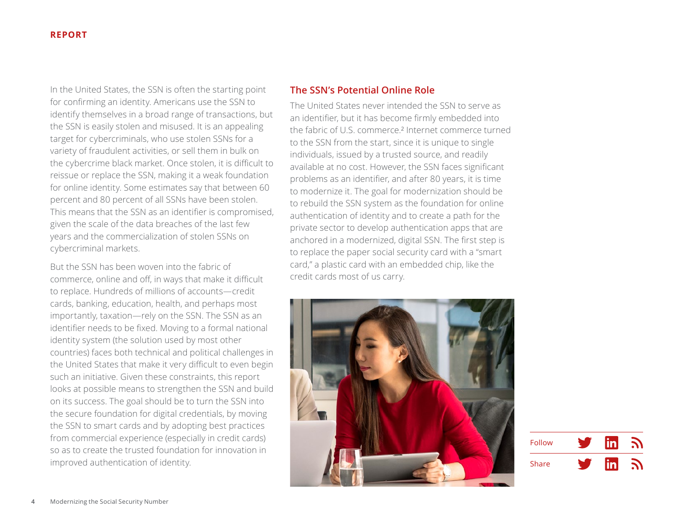<span id="page-3-0"></span>In the United States, the SSN is often the starting point for confirming an identity. Americans use the SSN to identify themselves in a broad range of transactions, but the SSN is easily stolen and misused. It is an appealing target for cybercriminals, who use stolen SSNs for a variety of fraudulent activities, or sell them in bulk on the cybercrime black market. Once stolen, it is difficult to reissue or replace the SSN, making it a weak foundation for online identity. Some estimates say that between 60 percent and 80 percent of all SSNs have been stolen. This means that the SSN as an identifier is compromised, given the scale of the data breaches of the last few years and the commercialization of stolen SSNs on cybercriminal markets.

But the SSN has been woven into the fabric of commerce, online and off, in ways that make it difficult to replace. Hundreds of millions of accounts—credit cards, banking, education, health, and perhaps most importantly, taxation—rely on the SSN. The SSN as an identifier needs to be fixed. Moving to a formal national identity system (the solution used by most other countries) faces both technical and political challenges in the United States that make it very difficult to even begin such an initiative. Given these constraints, this report looks at possible means to strengthen the SSN and build on its success. The goal should be to turn the SSN into the secure foundation for digital credentials, by moving the SSN to smart cards and by adopting best practices from commercial experience (especially in credit cards) so as to create the trusted foundation for innovation in improved authentication of identity.

# **The SSN's Potential Online Role**

The United States never intended the SSN to serve as an identifier, but it has become firmly embedded into the fabric of U.S. commerce.² Internet commerce turned to the SSN from the start, since it is unique to single individuals, issued by a trusted source, and readily available at no cost. However, the SSN faces significant problems as an identifier, and after 80 years, it is time to modernize it. The goal for modernization should be to rebuild the SSN system as the foundation for online authentication of identity and to create a path for the private sector to develop authentication apps that are anchored in a modernized, digital SSN. The first step is to replace the paper social security card with a "smart card," a plastic card with an embedded chip, like the credit cards most of us carry.



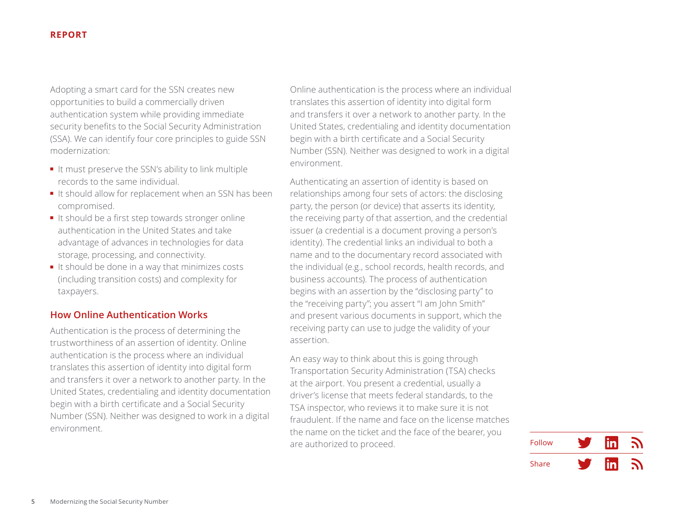<span id="page-4-0"></span>Adopting a smart card for the SSN creates new opportunities to build a commercially driven authentication system while providing immediate security benefits to the Social Security Administration (SSA). We can identify four core principles to guide SSN modernization:

- It must preserve the SSN's ability to link multiple records to the same individual.
- It should allow for replacement when an SSN has been compromised.
- It should be a first step towards stronger online authentication in the United States and take advantage of advances in technologies for data storage, processing, and connectivity.
- It should be done in a way that minimizes costs (including transition costs) and complexity for taxpayers.

# **How Online Authentication Works**

Authentication is the process of determining the trustworthiness of an assertion of identity. Online authentication is the process where an individual translates this assertion of identity into digital form and transfers it over a network to another party. In the United States, credentialing and identity documentation begin with a birth certificate and a Social Security Number (SSN). Neither was designed to work in a digital environment.

Online authentication is the process where an individual translates this assertion of identity into digital form and transfers it over a network to another party. In the United States, credentialing and identity documentation begin with a birth certificate and a Social Security Number (SSN). Neither was designed to work in a digital environment.

Authenticating an assertion of identity is based on relationships among four sets of actors: the disclosing party, the person (or device) that asserts its identity, the receiving party of that assertion, and the credential issuer (a credential is a document proving a person's identity). The credential links an individual to both a name and to the documentary record associated with the individual (e.g., school records, health records, and business accounts). The process of authentication begins with an assertion by the "disclosing party" to the "receiving party"; you assert "I am John Smith" and present various documents in support, which the receiving party can use to judge the validity of your assertion.

An easy way to think about this is going through Transportation Security Administration (TSA) checks at the airport. You present a credential, usually a driver's license that meets federal standards, to the TSA inspector, who reviews it to make sure it is not fraudulent. If the name and face on the license matches the name on the ticket and the face of the bearer, you are authorized to proceed.

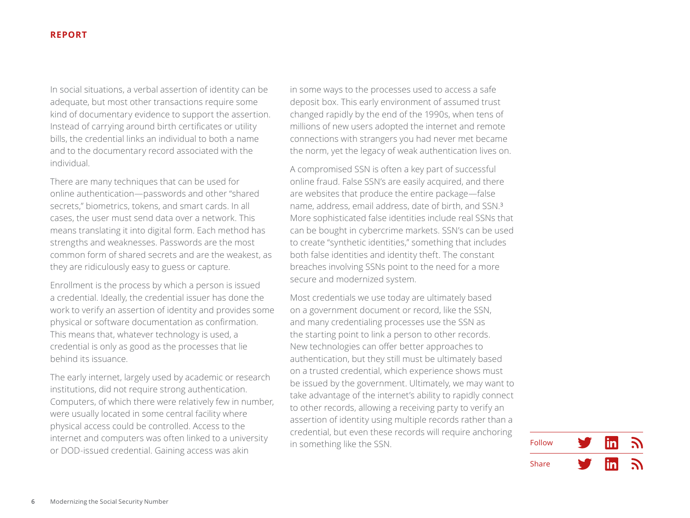In social situations, a verbal assertion of identity can be adequate, but most other transactions require some kind of documentary evidence to support the assertion. Instead of carrying around birth certificates or utility bills, the credential links an individual to both a name and to the documentary record associated with the individual.

There are many techniques that can be used for online authentication—passwords and other "shared secrets," biometrics, tokens, and smart cards. In all cases, the user must send data over a network. This means translating it into digital form. Each method has strengths and weaknesses. Passwords are the most common form of shared secrets and are the weakest, as they are ridiculously easy to guess or capture.

Enrollment is the process by which a person is issued a credential. Ideally, the credential issuer has done the work to verify an assertion of identity and provides some physical or software documentation as confirmation. This means that, whatever technology is used, a credential is only as good as the processes that lie behind its issuance.

The early internet, largely used by academic or research institutions, did not require strong authentication. Computers, of which there were relatively few in number, were usually located in some central facility where physical access could be controlled. Access to the internet and computers was often linked to a university or DOD-issued credential. Gaining access was akin

in some ways to the processes used to access a safe deposit box. This early environment of assumed trust changed rapidly by the end of the 1990s, when tens of millions of new users adopted the internet and remote connections with strangers you had never met became the norm, yet the legacy of weak authentication lives on.

A compromised SSN is often a key part of successful online fraud. False SSN's are easily acquired, and there are websites that produce the entire package—false name, address, email address, date of birth, and SSN.³ More sophisticated false identities include real SSNs that can be bought in cybercrime markets. SSN's can be used to create "synthetic identities," something that includes both false identities and identity theft. The constant breaches involving SSNs point to the need for a more secure and modernized system.

Most credentials we use today are ultimately based on a government document or record, like the SSN, and many credentialing processes use the SSN as the starting point to link a person to other records. New technologies can offer better approaches to authentication, but they still must be ultimately based on a trusted credential, which experience shows must be issued by the government. Ultimately, we may want to take advantage of the internet's ability to rapidly connect to other records, allowing a receiving party to verify an assertion of identity using multiple records rather than a credential, but even these records will require anchoring in something like the SSN.

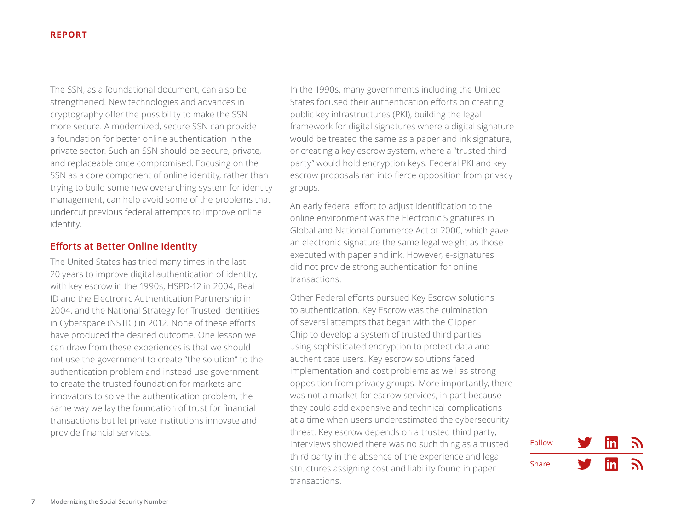<span id="page-6-0"></span>The SSN, as a foundational document, can also be strengthened. New technologies and advances in cryptography offer the possibility to make the SSN more secure. A modernized, secure SSN can provide a foundation for better online authentication in the private sector. Such an SSN should be secure, private, and replaceable once compromised. Focusing on the SSN as a core component of online identity, rather than trying to build some new overarching system for identity management, can help avoid some of the problems that undercut previous federal attempts to improve online identity.

# **Efforts at Better Online Identity**

The United States has tried many times in the last 20 years to improve digital authentication of identity, with key escrow in the 1990s, HSPD-12 in 2004, Real ID and the Electronic Authentication Partnership in 2004, and the National Strategy for Trusted Identities in Cyberspace (NSTIC) in 2012. None of these efforts have produced the desired outcome. One lesson we can draw from these experiences is that we should not use the government to create "the solution" to the authentication problem and instead use government to create the trusted foundation for markets and innovators to solve the authentication problem, the same way we lay the foundation of trust for financial transactions but let private institutions innovate and provide financial services.

In the 1990s, many governments including the United States focused their authentication efforts on creating public key infrastructures (PKI), building the legal framework for digital signatures where a digital signature would be treated the same as a paper and ink signature, or creating a key escrow system, where a "trusted third party" would hold encryption keys. Federal PKI and key escrow proposals ran into fierce opposition from privacy groups.

An early federal effort to adjust identification to the online environment was the Electronic Signatures in Global and National Commerce Act of 2000, which gave an electronic signature the same legal weight as those executed with paper and ink. However, e-signatures did not provide strong authentication for online transactions.

Other Federal efforts pursued Key Escrow solutions to authentication. Key Escrow was the culmination of several attempts that began with the Clipper Chip to develop a system of trusted third parties using sophisticated encryption to protect data and authenticate users. Key escrow solutions faced implementation and cost problems as well as strong opposition from privacy groups. More importantly, there was not a market for escrow services, in part because they could add expensive and technical complications at a time when users underestimated the cybersecurity threat. Key escrow depends on a trusted third party; interviews showed there was no such thing as a trusted third party in the absence of the experience and legal structures assigning cost and liability found in paper transactions.

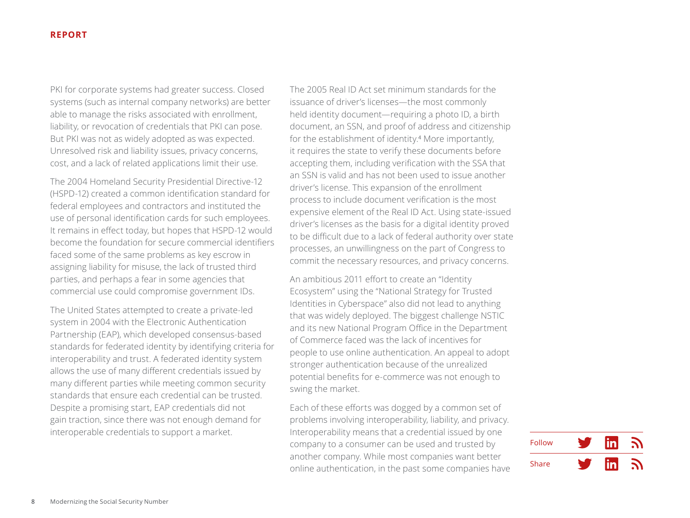PKI for corporate systems had greater success. Closed systems (such as internal company networks) are better able to manage the risks associated with enrollment, liability, or revocation of credentials that PKI can pose. But PKI was not as widely adopted as was expected. Unresolved risk and liability issues, privacy concerns, cost, and a lack of related applications limit their use.

The 2004 Homeland Security Presidential Directive-12 (HSPD-12) created a common identification standard for federal employees and contractors and instituted the use of personal identification cards for such employees. It remains in effect today, but hopes that HSPD-12 would become the foundation for secure commercial identifiers faced some of the same problems as key escrow in assigning liability for misuse, the lack of trusted third parties, and perhaps a fear in some agencies that commercial use could compromise government IDs.

The United States attempted to create a private-led system in 2004 with the Electronic Authentication Partnership (EAP), which developed consensus-based standards for federated identity by identifying criteria for interoperability and trust. A federated identity system allows the use of many different credentials issued by many different parties while meeting common security standards that ensure each credential can be trusted. Despite a promising start, EAP credentials did not gain traction, since there was not enough demand for interoperable credentials to support a market.

The 2005 Real ID Act set minimum standards for the issuance of driver's licenses—the most commonly held identity document—requiring a photo ID, a birth document, an SSN, and proof of address and citizenship for the establishment of identity.<sup>4</sup> More importantly, it requires the state to verify these documents before accepting them, including verification with the SSA that an SSN is valid and has not been used to issue another driver's license. This expansion of the enrollment process to include document verification is the most expensive element of the Real ID Act. Using state-issued driver's licenses as the basis for a digital identity proved to be difficult due to a lack of federal authority over state processes, an unwillingness on the part of Congress to commit the necessary resources, and privacy concerns.

An ambitious 2011 effort to create an "Identity Ecosystem" using the "National Strategy for Trusted Identities in Cyberspace" also did not lead to anything that was widely deployed. The biggest challenge NSTIC and its new National Program Office in the Department of Commerce faced was the lack of incentives for people to use online authentication. An appeal to adopt stronger authentication because of the unrealized potential benefits for e-commerce was not enough to swing the market.

Each of these efforts was dogged by a common set of problems involving interoperability, liability, and privacy. Interoperability means that a credential issued by one company to a consumer can be used and trusted by another company. While most companies want better online authentication, in the past some companies have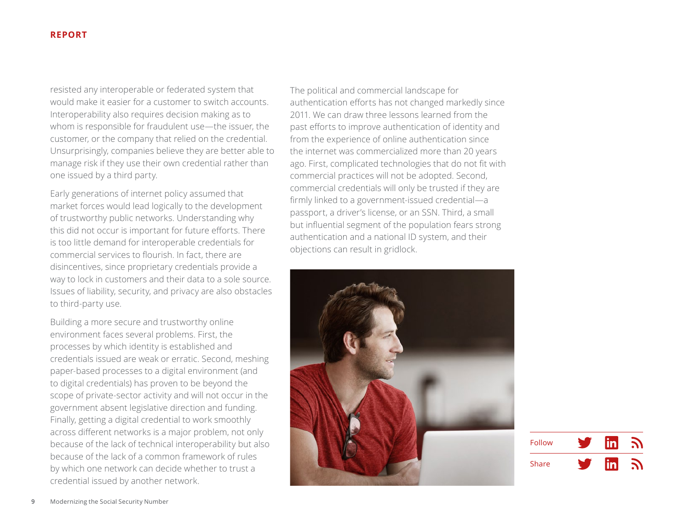resisted any interoperable or federated system that would make it easier for a customer to switch accounts. Interoperability also requires decision making as to whom is responsible for fraudulent use—the issuer, the customer, or the company that relied on the credential. Unsurprisingly, companies believe they are better able to manage risk if they use their own credential rather than one issued by a third party.

Early generations of internet policy assumed that market forces would lead logically to the development of trustworthy public networks. Understanding why this did not occur is important for future efforts. There is too little demand for interoperable credentials for commercial services to flourish. In fact, there are disincentives, since proprietary credentials provide a way to lock in customers and their data to a sole source. Issues of liability, security, and privacy are also obstacles to third-party use.

Building a more secure and trustworthy online environment faces several problems. First, the processes by which identity is established and credentials issued are weak or erratic. Second, meshing paper-based processes to a digital environment (and to digital credentials) has proven to be beyond the scope of private-sector activity and will not occur in the government absent legislative direction and funding. Finally, getting a digital credential to work smoothly across different networks is a major problem, not only because of the lack of technical interoperability but also because of the lack of a common framework of rules by which one network can decide whether to trust a credential issued by another network.

The political and commercial landscape for authentication efforts has not changed markedly since 2011. We can draw three lessons learned from the past efforts to improve authentication of identity and from the experience of online authentication since the internet was commercialized more than 20 years ago. First, complicated technologies that do not fit with commercial practices will not be adopted. Second, commercial credentials will only be trusted if they are firmly linked to a government-issued credential—a passport, a driver's license, or an SSN. Third, a small but influential segment of the population fears strong authentication and a national ID system, and their objections can result in gridlock.



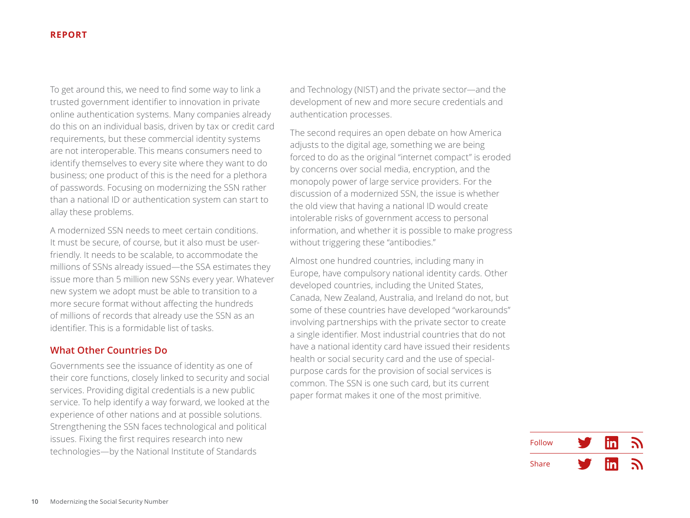<span id="page-9-0"></span>To get around this, we need to find some way to link a trusted government identifier to innovation in private online authentication systems. Many companies already do this on an individual basis, driven by tax or credit card requirements, but these commercial identity systems are not interoperable. This means consumers need to identify themselves to every site where they want to do business; one product of this is the need for a plethora of passwords. Focusing on modernizing the SSN rather than a national ID or authentication system can start to allay these problems.

A modernized SSN needs to meet certain conditions. It must be secure, of course, but it also must be userfriendly. It needs to be scalable, to accommodate the millions of SSNs already issued—the SSA estimates they issue more than 5 million new SSNs every year. Whatever new system we adopt must be able to transition to a more secure format without affecting the hundreds of millions of records that already use the SSN as an identifier. This is a formidable list of tasks.

# **What Other Countries Do**

Governments see the issuance of identity as one of their core functions, closely linked to security and social services. Providing digital credentials is a new public service. To help identify a way forward, we looked at the experience of other nations and at possible solutions. Strengthening the SSN faces technological and political issues. Fixing the first requires research into new technologies—by the National Institute of Standards

and Technology (NIST) and the private sector—and the development of new and more secure credentials and authentication processes.

The second requires an open debate on how America adjusts to the digital age, something we are being forced to do as the original "internet compact" is eroded by concerns over social media, encryption, and the monopoly power of large service providers. For the discussion of a modernized SSN, the issue is whether the old view that having a national ID would create intolerable risks of government access to personal information, and whether it is possible to make progress without triggering these "antibodies."

Almost one hundred countries, including many in Europe, have compulsory national identity cards. Other developed countries, including the United States, Canada, New Zealand, Australia, and Ireland do not, but some of these countries have developed "workarounds" involving partnerships with the private sector to create a single identifier. Most industrial countries that do not have a national identity card have issued their residents health or social security card and the use of specialpurpose cards for the provision of social services is common. The SSN is one such card, but its current paper format makes it one of the most primitive.

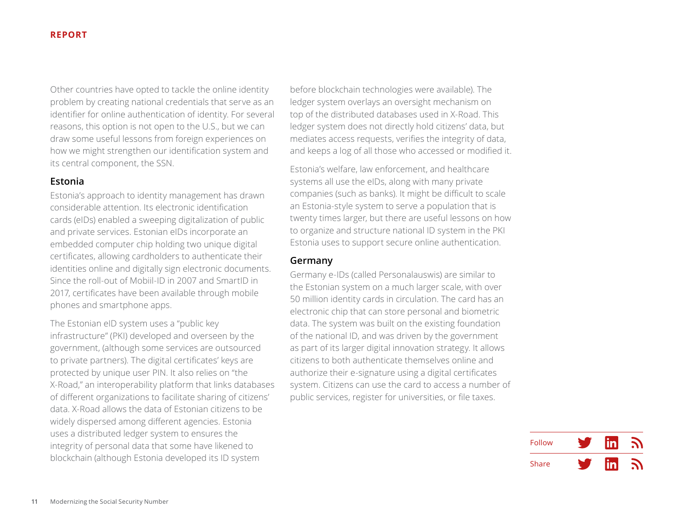<span id="page-10-0"></span>Other countries have opted to tackle the online identity problem by creating national credentials that serve as an identifier for online authentication of identity. For several reasons, this option is not open to the U.S., but we can draw some useful lessons from foreign experiences on how we might strengthen our identification system and its central component, the SSN.

# **Estonia**

Estonia's approach to identity management has drawn considerable attention. Its electronic identification cards (eIDs) enabled a sweeping digitalization of public and private services. Estonian eIDs incorporate an embedded computer chip holding two unique digital certificates, allowing cardholders to authenticate their identities online and digitally sign electronic documents. Since the roll-out of Mobiil-ID in 2007 and SmartID in 2017, certificates have been available through mobile phones and smartphone apps.

The Estonian eID system uses a "public key infrastructure" (PKI) developed and overseen by the government, (although some services are outsourced to private partners). The digital certificates' keys are protected by unique user PIN. It also relies on "the X-Road," an interoperability platform that links databases of different organizations to facilitate sharing of citizens' data. X-Road allows the data of Estonian citizens to be widely dispersed among different agencies. Estonia uses a distributed ledger system to ensures the integrity of personal data that some have likened to blockchain (although Estonia developed its ID system

before blockchain technologies were available). The ledger system overlays an oversight mechanism on top of the distributed databases used in X-Road. This ledger system does not directly hold citizens' data, but mediates access requests, verifies the integrity of data, and keeps a log of all those who accessed or modified it.

Estonia's welfare, law enforcement, and healthcare systems all use the eIDs, along with many private companies (such as banks). It might be difficult to scale an Estonia-style system to serve a population that is twenty times larger, but there are useful lessons on how to organize and structure national ID system in the PKI Estonia uses to support secure online authentication.

# **Germany**

Germany e-IDs (called Personalauswis) are similar to the Estonian system on a much larger scale, with over 50 million identity cards in circulation. The card has an electronic chip that can store personal and biometric data. The system was built on the existing foundation of the national ID, and was driven by the government as part of its larger digital innovation strategy. It allows citizens to both authenticate themselves online and authorize their e-signature using a digital certificates system. Citizens can use the card to access a number of public services, register for universities, or file taxes.

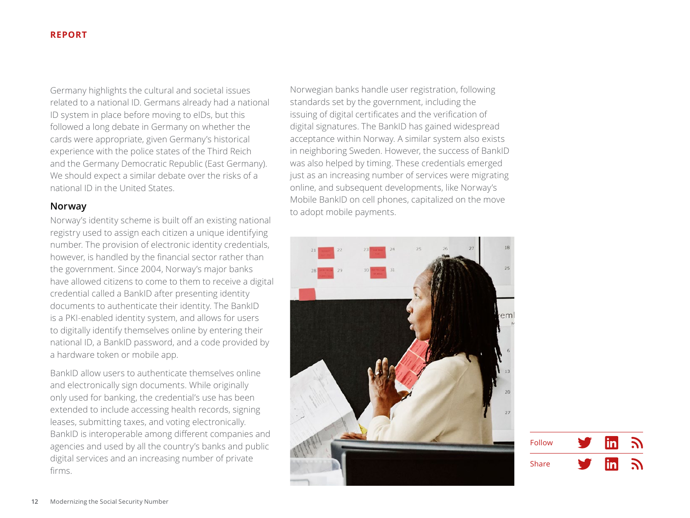<span id="page-11-0"></span>Germany highlights the cultural and societal issues related to a national ID. Germans already had a national ID system in place before moving to eIDs, but this followed a long debate in Germany on whether the cards were appropriate, given Germany's historical experience with the police states of the Third Reich and the Germany Democratic Republic (East Germany). We should expect a similar debate over the risks of a national ID in the United States.

# **Norway**

Norway's identity scheme is built off an existing national registry used to assign each citizen a unique identifying number. The provision of electronic identity credentials, however, is handled by the financial sector rather than the government. Since 2004, Norway's major banks have allowed citizens to come to them to receive a digital credential called a BankID after presenting identity documents to authenticate their identity. The BankID is a PKI-enabled identity system, and allows for users to digitally identify themselves online by entering their national ID, a BankID password, and a code provided by a hardware token or mobile app.

BankID allow users to authenticate themselves online and electronically sign documents. While originally only used for banking, the credential's use has been extended to include accessing health records, signing leases, submitting taxes, and voting electronically. BankID is interoperable among different companies and agencies and used by all the country's banks and public digital services and an increasing number of private firms.

Norwegian banks handle user registration, following standards set by the government, including the issuing of digital certificates and the verification of digital signatures. The BankID has gained widespread acceptance within Norway. A similar system also exists in neighboring Sweden. However, the success of BankID was also helped by timing. These credentials emerged just as an increasing number of services were migrating online, and subsequent developments, like Norway's Mobile BankID on cell phones, capitalized on the move to adopt mobile payments.



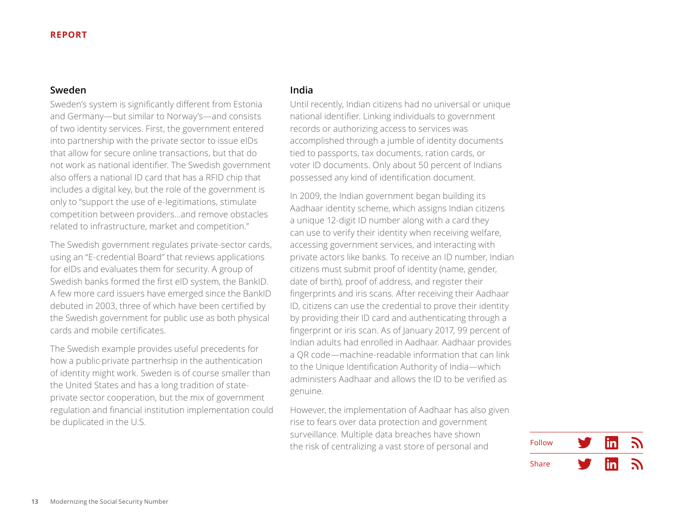#### <span id="page-12-0"></span>**Sweden**

Sweden's system is significantly different from Estonia and Germany—but similar to Norway's—and consists of two identity services. First, the government entered into partnership with the private sector to issue eIDs that allow for secure online transactions, but that do not work as national identifier. The Swedish government also offers a national ID card that has a RFID chip that includes a digital key, but the role of the government is only to "support the use of e-legitimations, stimulate competition between providers…and remove obstacles related to infrastructure, market and competition."

The Swedish government regulates private-sector cards, using an "E-credential Board" that reviews applications for eIDs and evaluates them for security. A group of Swedish banks formed the first eID system, the BankID. A few more card issuers have emerged since the BankID debuted in 2003, three of which have been certified by the Swedish government for public use as both physical cards and mobile certificates.

The Swedish example provides useful precedents for how a public-private partnerhsip in the authentication of identity might work. Sweden is of course smaller than the United States and has a long tradition of stateprivate sector cooperation, but the mix of government regulation and financial institution implementation could be duplicated in the U.S.

## **India**

Until recently, Indian citizens had no universal or unique national identifier. Linking individuals to government records or authorizing access to services was accomplished through a jumble of identity documents tied to passports, tax documents, ration cards, or voter ID documents. Only about 50 percent of Indians possessed any kind of identification document.

In 2009, the Indian government began building its Aadhaar identity scheme, which assigns Indian citizens a unique 12-digit ID number along with a card they can use to verify their identity when receiving welfare, accessing government services, and interacting with private actors like banks. To receive an ID number, Indian citizens must submit proof of identity (name, gender, date of birth), proof of address, and register their fingerprints and iris scans. After receiving their Aadhaar ID, citizens can use the credential to prove their identity by providing their ID card and authenticating through a fingerprint or iris scan. As of January 2017, 99 percent of Indian adults had enrolled in Aadhaar. Aadhaar provides a QR code—machine-readable information that can link to the Unique Identification Authority of India—which administers Aadhaar and allows the ID to be verified as genuine.

However, the implementation of Aadhaar has also given rise to fears over data protection and government surveillance. Multiple data breaches have shown the risk of centralizing a vast store of personal and

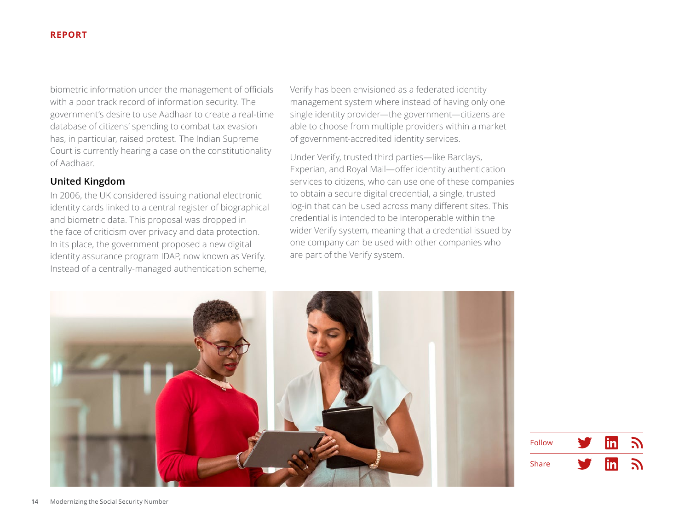<span id="page-13-0"></span>biometric information under the management of officials with a poor track record of information security. The government's desire to use Aadhaar to create a real-time database of citizens' spending to combat tax evasion has, in particular, raised protest. The Indian Supreme Court is currently hearing a case on the constitutionality of Aadhaar.

# **United Kingdom**

In 2006, the UK considered issuing national electronic identity cards linked to a central register of biographical and biometric data. This proposal was dropped in the face of criticism over privacy and data protection. In its place, the government proposed a new digital identity assurance program IDAP, now known as Verify. Instead of a centrally-managed authentication scheme,

Verify has been envisioned as a federated identity management system where instead of having only one single identity provider—the government—citizens are able to choose from multiple providers within a market of government-accredited identity services.

Under Verify, trusted third parties—like Barclays, Experian, and Royal Mail—offer identity authentication services to citizens, who can use one of these companies to obtain a secure digital credential, a single, trusted log-in that can be used across many different sites. This credential is intended to be interoperable within the wider Verify system, meaning that a credential issued by one company can be used with other companies who are part of the Verify system.



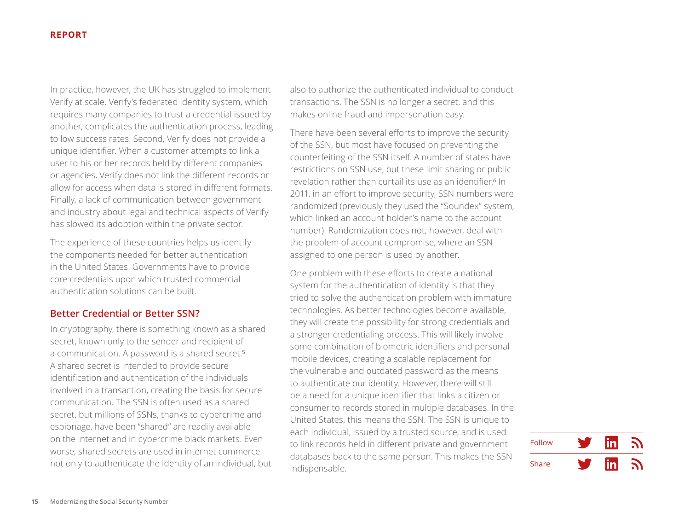<span id="page-14-0"></span>In practice, however, the UK has struggled to implement Verify at scale. Verify's federated identity system, which requires many companies to trust a credential issued by another, complicates the authentication process, leading to low success rates. Second, Verify does not provide a unique identifier. When a customer attempts to link a user to his or her records held by different companies or agencies, Verify does not link the different records or allow for access when data is stored in different formats. Finally, a lack of communication between government and industry about legal and technical aspects of Verify has slowed its adoption within the private sector.

The experience of these countries helps us identify the components needed for better authentication in the United States. Governments have to provide core credentials upon which trusted commercial authentication solutions can be built.

### **Better Credential or Better SSN?**

In cryptography, there is something known as a shared secret, known only to the sender and recipient of a communication. A password is a shared secret.<sup>5</sup> A shared secret is intended to provide secure identification and authentication of the individuals involved in a transaction, creating the basis for secure communication. The SSN is often used as a shared secret, but millions of SSNs, thanks to cybercrime and espionage, have been "shared" are readily available on the internet and in cybercrime black markets. Even worse, shared secrets are used in internet commerce not only to authenticate the identity of an individual, but

also to authorize the authenticated individual to conduct transactions. The SSN is no longer a secret, and this makes online fraud and impersonation easy.

There have been several efforts to improve the security of the SSN, but most have focused on preventing the counterfeiting of the SSN itself. A number of states have restrictions on SSN use, but these limit sharing or public revelation rather than curtail its use as an identifier<sup>6</sup> In 2011, in an effort to improve security, SSN numbers were randomized (previously they used the "Soundex" system, which linked an account holder's name to the account number). Randomization does not, however, deal with the problem of account compromise, where an SSN assigned to one person is used by another.

One problem with these efforts to create a national system for the authentication of identity is that they tried to solve the authentication problem with immature technologies. As better technologies become available, they will create the possibility for strong credentials and a stronger credentialing process. This will likely involve some combination of biometric identifiers and personal mobile devices, creating a scalable replacement for the vulnerable and outdated password as the means to authenticate our identity. However, there will still be a need for a unique identifier that links a citizen or consumer to records stored in multiple databases. In the United States, this means the SSN. The SSN is unique to each individual, issued by a trusted source, and is used to link records held in different private and government databases back to the same person. This makes the SSN indispensable.

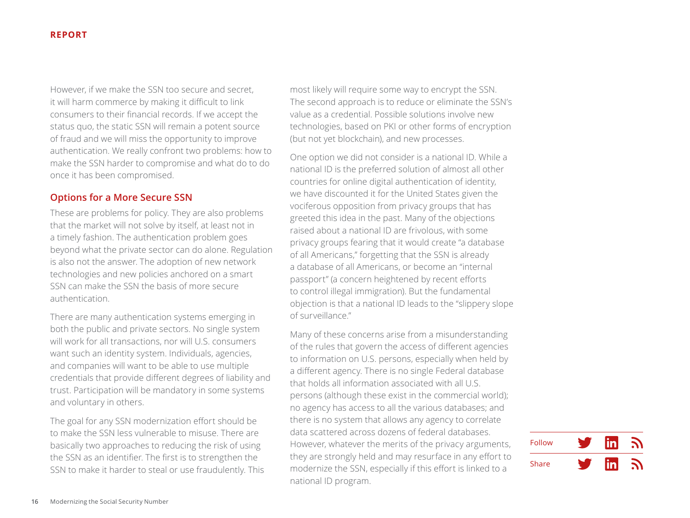<span id="page-15-0"></span>However, if we make the SSN too secure and secret, it will harm commerce by making it difficult to link consumers to their financial records. If we accept the status quo, the static SSN will remain a potent source of fraud and we will miss the opportunity to improve authentication. We really confront two problems: how to make the SSN harder to compromise and what do to do once it has been compromised.

# **Options for a More Secure SSN**

These are problems for policy. They are also problems that the market will not solve by itself, at least not in a timely fashion. The authentication problem goes beyond what the private sector can do alone. Regulation is also not the answer. The adoption of new network technologies and new policies anchored on a smart SSN can make the SSN the basis of more secure authentication.

There are many authentication systems emerging in both the public and private sectors. No single system will work for all transactions, nor will U.S. consumers want such an identity system. Individuals, agencies, and companies will want to be able to use multiple credentials that provide different degrees of liability and trust. Participation will be mandatory in some systems and voluntary in others.

The goal for any SSN modernization effort should be to make the SSN less vulnerable to misuse. There are basically two approaches to reducing the risk of using the SSN as an identifier. The first is to strengthen the SSN to make it harder to steal or use fraudulently. This

most likely will require some way to encrypt the SSN. The second approach is to reduce or eliminate the SSN's value as a credential. Possible solutions involve new technologies, based on PKI or other forms of encryption (but not yet blockchain), and new processes.

One option we did not consider is a national ID. While a national ID is the preferred solution of almost all other countries for online digital authentication of identity, we have discounted it for the United States given the vociferous opposition from privacy groups that has greeted this idea in the past. Many of the objections raised about a national ID are frivolous, with some privacy groups fearing that it would create "a database of all Americans," forgetting that the SSN is already a database of all Americans, or become an "internal passport" (a concern heightened by recent efforts to control illegal immigration). But the fundamental objection is that a national ID leads to the "slippery slope of surveillance."

Many of these concerns arise from a misunderstanding of the rules that govern the access of different agencies to information on U.S. persons, especially when held by a different agency. There is no single Federal database that holds all information associated with all U.S. persons (although these exist in the commercial world); no agency has access to all the various databases; and there is no system that allows any agency to correlate data scattered across dozens of federal databases. However, whatever the merits of the privacy arguments, they are strongly held and may resurface in any effort to modernize the SSN, especially if this effort is linked to a national ID program.

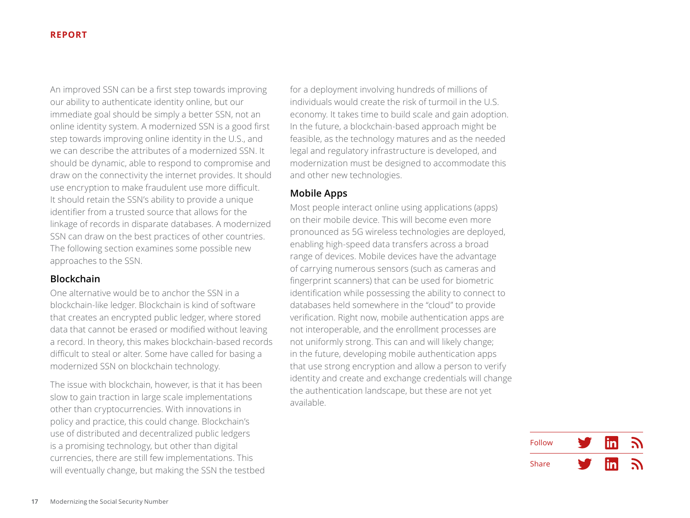<span id="page-16-0"></span>An improved SSN can be a first step towards improving our ability to authenticate identity online, but our immediate goal should be simply a better SSN, not an online identity system. A modernized SSN is a good first step towards improving online identity in the U.S., and we can describe the attributes of a modernized SSN. It should be dynamic, able to respond to compromise and draw on the connectivity the internet provides. It should use encryption to make fraudulent use more difficult. It should retain the SSN's ability to provide a unique identifier from a trusted source that allows for the linkage of records in disparate databases. A modernized SSN can draw on the best practices of other countries. The following section examines some possible new approaches to the SSN.

# **Blockchain**

One alternative would be to anchor the SSN in a blockchain-like ledger. Blockchain is kind of software that creates an encrypted public ledger, where stored data that cannot be erased or modified without leaving a record. In theory, this makes blockchain-based records difficult to steal or alter. Some have called for basing a modernized SSN on blockchain technology.

The issue with blockchain, however, is that it has been slow to gain traction in large scale implementations other than cryptocurrencies. With innovations in policy and practice, this could change. Blockchain's use of distributed and decentralized public ledgers is a promising technology, but other than digital currencies, there are still few implementations. This will eventually change, but making the SSN the testbed for a deployment involving hundreds of millions of individuals would create the risk of turmoil in the U.S. economy. It takes time to build scale and gain adoption. In the future, a blockchain-based approach might be feasible, as the technology matures and as the needed legal and regulatory infrastructure is developed, and modernization must be designed to accommodate this and other new technologies.

#### **Mobile Apps**

Most people interact online using applications (apps) on their mobile device. This will become even more pronounced as 5G wireless technologies are deployed, enabling high-speed data transfers across a broad range of devices. Mobile devices have the advantage of carrying numerous sensors (such as cameras and fingerprint scanners) that can be used for biometric identification while possessing the ability to connect to databases held somewhere in the "cloud" to provide verification. Right now, mobile authentication apps are not interoperable, and the enrollment processes are not uniformly strong. This can and will likely change; in the future, developing mobile authentication apps that use strong encryption and allow a person to verify identity and create and exchange credentials will change the authentication landscape, but these are not yet available.

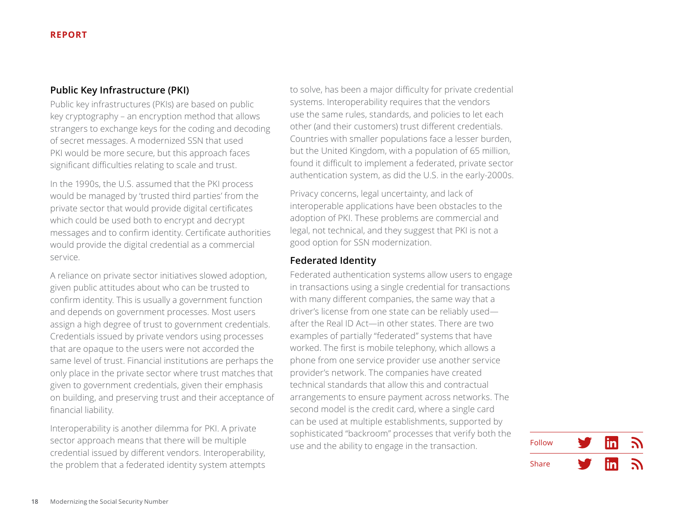# <span id="page-17-0"></span>**Public Key Infrastructure (PKI)**

Public key infrastructures (PKIs) are based on public key cryptography – an encryption method that allows strangers to exchange keys for the coding and decoding of secret messages. A modernized SSN that used PKI would be more secure, but this approach faces significant difficulties relating to scale and trust.

In the 1990s, the U.S. assumed that the PKI process would be managed by 'trusted third parties' from the private sector that would provide digital certificates which could be used both to encrypt and decrypt messages and to confirm identity. Certificate authorities would provide the digital credential as a commercial service.

A reliance on private sector initiatives slowed adoption, given public attitudes about who can be trusted to confirm identity. This is usually a government function and depends on government processes. Most users assign a high degree of trust to government credentials. Credentials issued by private vendors using processes that are opaque to the users were not accorded the same level of trust. Financial institutions are perhaps the only place in the private sector where trust matches that given to government credentials, given their emphasis on building, and preserving trust and their acceptance of financial liability.

Interoperability is another dilemma for PKI. A private sector approach means that there will be multiple credential issued by different vendors. Interoperability, the problem that a federated identity system attempts to solve, has been a major difficulty for private credential systems. Interoperability requires that the vendors use the same rules, standards, and policies to let each other (and their customers) trust different credentials. Countries with smaller populations face a lesser burden, but the United Kingdom, with a population of 65 million, found it difficult to implement a federated, private sector authentication system, as did the U.S. in the early-2000s.

Privacy concerns, legal uncertainty, and lack of interoperable applications have been obstacles to the adoption of PKI. These problems are commercial and legal, not technical, and they suggest that PKI is not a good option for SSN modernization.

# **Federated Identity**

Federated authentication systems allow users to engage in transactions using a single credential for transactions with many different companies, the same way that a driver's license from one state can be reliably used after the Real ID Act—in other states. There are two examples of partially "federated" systems that have worked. The first is mobile telephony, which allows a phone from one service provider use another service provider's network. The companies have created technical standards that allow this and contractual arrangements to ensure payment across networks. The second model is the credit card, where a single card can be used at multiple establishments, supported by sophisticated "backroom" processes that verify both the use and the ability to engage in the transaction.

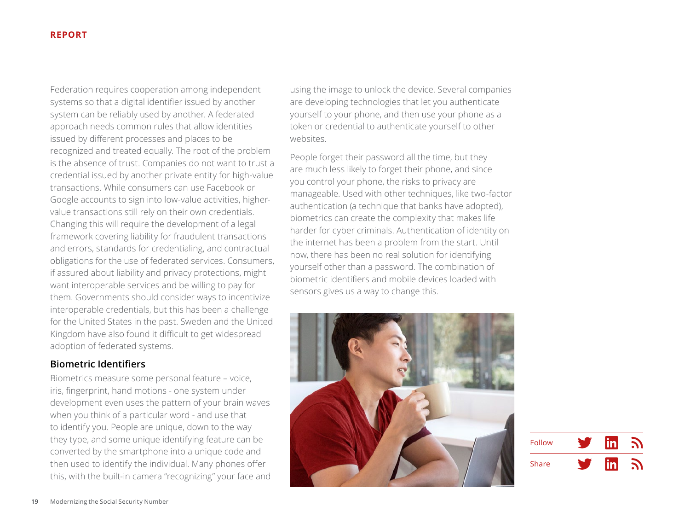<span id="page-18-0"></span>Federation requires cooperation among independent systems so that a digital identifier issued by another system can be reliably used by another. A federated approach needs common rules that allow identities issued by different processes and places to be recognized and treated equally. The root of the problem is the absence of trust. Companies do not want to trust a credential issued by another private entity for high-value transactions. While consumers can use Facebook or Google accounts to sign into low-value activities, highervalue transactions still rely on their own credentials. Changing this will require the development of a legal framework covering liability for fraudulent transactions and errors, standards for credentialing, and contractual obligations for the use of federated services. Consumers, if assured about liability and privacy protections, might want interoperable services and be willing to pay for them. Governments should consider ways to incentivize interoperable credentials, but this has been a challenge for the United States in the past. Sweden and the United Kingdom have also found it difficult to get widespread adoption of federated systems.

# **Biometric Identifiers**

Biometrics measure some personal feature – voice, iris, fingerprint, hand motions - one system under development even uses the pattern of your brain waves when you think of a particular word - and use that to identify you. People are unique, down to the way they type, and some unique identifying feature can be converted by the smartphone into a unique code and then used to identify the individual. Many phones offer this, with the built-in camera "recognizing" your face and

using the image to unlock the device. Several companies are developing technologies that let you authenticate yourself to your phone, and then use your phone as a token or credential to authenticate yourself to other websites.

People forget their password all the time, but they are much less likely to forget their phone, and since you control your phone, the risks to privacy are manageable. Used with other techniques, like two-factor authentication (a technique that banks have adopted), biometrics can create the complexity that makes life harder for cyber criminals. Authentication of identity on the internet has been a problem from the start. Until now, there has been no real solution for identifying yourself other than a password. The combination of biometric identifiers and mobile devices loaded with sensors gives us a way to change this.



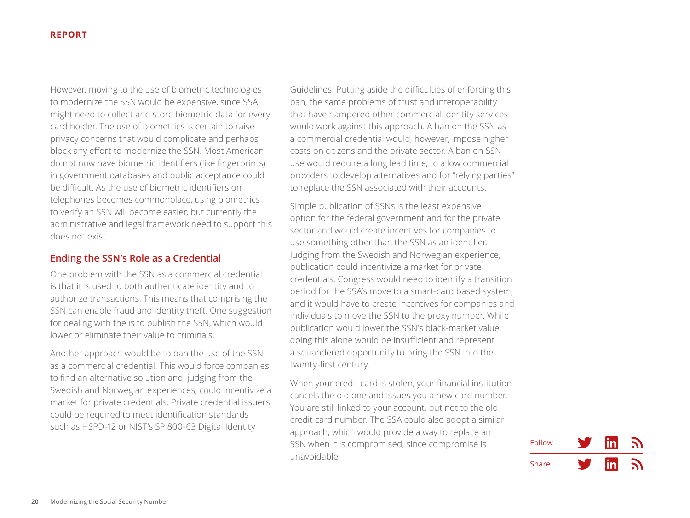<span id="page-19-0"></span>However, moving to the use of biometric technologies to modernize the SSN would be expensive, since SSA might need to collect and store biometric data for every card holder. The use of biometrics is certain to raise privacy concerns that would complicate and perhaps block any effort to modernize the SSN. Most American do not now have biometric identifiers (like fingerprints) in government databases and public acceptance could be difficult. As the use of biometric identifiers on telephones becomes commonplace, using biometrics to verify an SSN will become easier, but currently the administrative and legal framework need to support this does not exist.

# **Ending the SSN's Role as a Credential**

One problem with the SSN as a commercial credential is that it is used to both authenticate identity and to authorize transactions. This means that comprising the SSN can enable fraud and identity theft. One suggestion for dealing with the is to publish the SSN, which would lower or eliminate their value to criminals.

Another approach would be to ban the use of the SSN as a commercial credential. This would force companies to find an alternative solution and, judging from the Swedish and Norwegian experiences, could incentivize a market for private credentials. Private credential issuers could be required to meet identification standards such as HSPD-12 or NIST's SP 800-63 Digital Identity

Guidelines. Putting aside the difficulties of enforcing this ban, the same problems of trust and interoperability that have hampered other commercial identity services would work against this approach. A ban on the SSN as a commercial credential would, however, impose higher costs on citizens and the private sector. A ban on SSN use would require a long lead time, to allow commercial providers to develop alternatives and for "relying parties" to replace the SSN associated with their accounts.

Simple publication of SSNs is the least expensive option for the federal government and for the private sector and would create incentives for companies to use something other than the SSN as an identifier. Judging from the Swedish and Norwegian experience, publication could incentivize a market for private credentials. Congress would need to identify a transition period for the SSA's move to a smart-card based system, and it would have to create incentives for companies and individuals to move the SSN to the proxy number. While publication would lower the SSN's black-market value, doing this alone would be insufficient and represent a squandered opportunity to bring the SSN into the twenty-first century.

When your credit card is stolen, your financial institution cancels the old one and issues you a new card number. You are still linked to your account, but not to the old credit card number. The SSA could also adopt a similar approach, which would provide a way to replace an SSN when it is compromised, since compromise is unavoidable.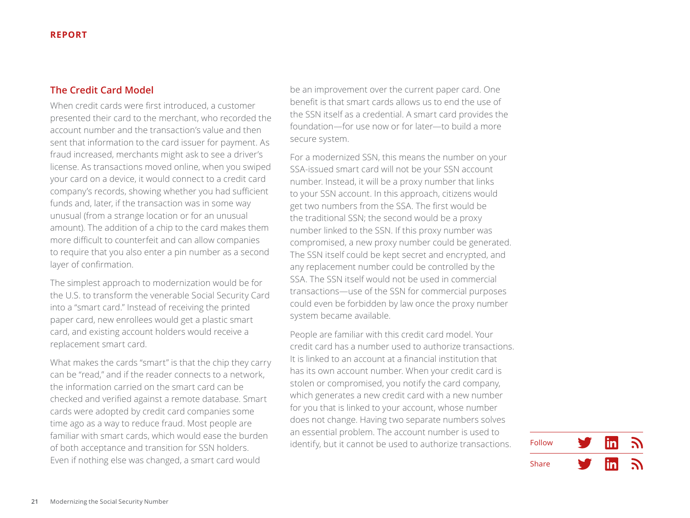# <span id="page-20-0"></span>**The Credit Card Model**

When credit cards were first introduced, a customer presented their card to the merchant, who recorded the account number and the transaction's value and then sent that information to the card issuer for payment. As fraud increased, merchants might ask to see a driver's license. As transactions moved online, when you swiped your card on a device, it would connect to a credit card company's records, showing whether you had sufficient funds and, later, if the transaction was in some way unusual (from a strange location or for an unusual amount). The addition of a chip to the card makes them more difficult to counterfeit and can allow companies to require that you also enter a pin number as a second layer of confirmation.

The simplest approach to modernization would be for the U.S. to transform the venerable Social Security Card into a "smart card." Instead of receiving the printed paper card, new enrollees would get a plastic smart card, and existing account holders would receive a replacement smart card.

What makes the cards "smart" is that the chip they carry can be "read," and if the reader connects to a network, the information carried on the smart card can be checked and verified against a remote database. Smart cards were adopted by credit card companies some time ago as a way to reduce fraud. Most people are familiar with smart cards, which would ease the burden of both acceptance and transition for SSN holders. Even if nothing else was changed, a smart card would

be an improvement over the current paper card. One benefit is that smart cards allows us to end the use of the SSN itself as a credential. A smart card provides the foundation—for use now or for later—to build a more secure system.

For a modernized SSN, this means the number on your SSA-issued smart card will not be your SSN account number. Instead, it will be a proxy number that links to your SSN account. In this approach, citizens would get two numbers from the SSA. The first would be the traditional SSN; the second would be a proxy number linked to the SSN. If this proxy number was compromised, a new proxy number could be generated. The SSN itself could be kept secret and encrypted, and any replacement number could be controlled by the SSA. The SSN itself would not be used in commercial transactions—use of the SSN for commercial purposes could even be forbidden by law once the proxy number system became available.

People are familiar with this credit card model. Your credit card has a number used to authorize transactions. It is linked to an account at a financial institution that has its own account number. When your credit card is stolen or compromised, you notify the card company, which generates a new credit card with a new number for you that is linked to your account, whose number does not change. Having two separate numbers solves an essential problem. The account number is used to identify, but it cannot be used to authorize transactions.

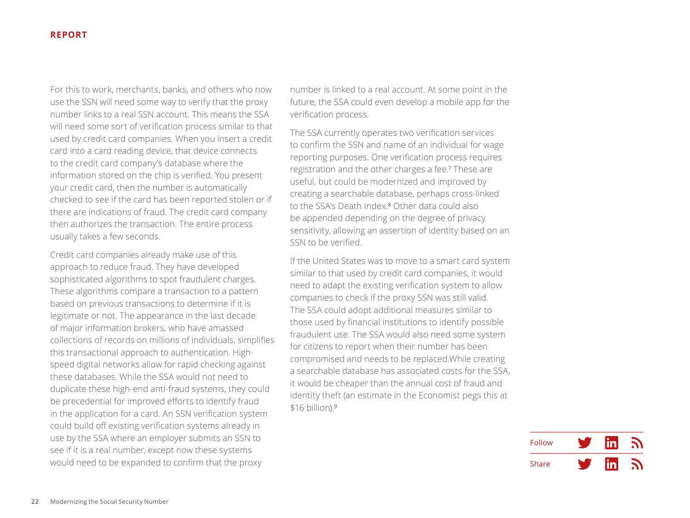For this to work, merchants, banks, and others who now use the SSN will need some way to verify that the proxy number links to a real SSN account. This means the SSA will need some sort of verification process similar to that used by credit card companies. When you insert a credit card into a card reading device, that device connects to the credit card company's database where the information stored on the chip is verified. You present your credit card, then the number is automatically checked to see if the card has been reported stolen or if there are indications of fraud. The credit card company then authorizes the transaction. The entire process usually takes a few seconds.

Credit card companies already make use of this approach to reduce fraud. They have developed sophisticated algorithms to spot fraudulent charges. These algorithms compare a transaction to a pattern based on previous transactions to determine if it is legitimate or not. The appearance in the last decade of major information brokers, who have amassed collections of records on millions of individuals, simplifies this transactional approach to authentication. Highspeed digital networks allow for rapid checking against these databases. While the SSA would not need to duplicate these high-end anti-fraud systems, they could be precedential for improved efforts to identify fraud in the application for a card. An SSN verification system could build off existing verification systems already in use by the SSA where an employer submits an SSN to see if it is a real number, except now these systems would need to be expanded to confirm that the proxy

number is linked to a real account. At some point in the future, the SSA could even develop a mobile app for the verification process.

The SSA currently operates two verification services to confirm the SSN and name of an individual for wage reporting purposes. One verification process requires registration and the other charges a fee.<sup>7</sup> These are useful, but could be modernized and improved by creating a searchable database, perhaps cross-linked to the SSA's Death Index.<sup>8</sup> Other data could also be appended depending on the degree of privacy sensitivity, allowing an assertion of identity based on an SSN to be verified.

If the United States was to move to a smart card system similar to that used by credit card companies, it would need to adapt the existing verification system to allow companies to check if the proxy SSN was still valid. The SSA could adopt additional measures similar to those used by financial institutions to identify possible fraudulent use. The SSA would also need some system for citizens to report when their number has been compromised and needs to be replaced.While creating a searchable database has associated costs for the SSA, it would be cheaper than the annual cost of fraud and identity theft (an estimate in the Economist pegs this at \$16 billion).<sup>9</sup>

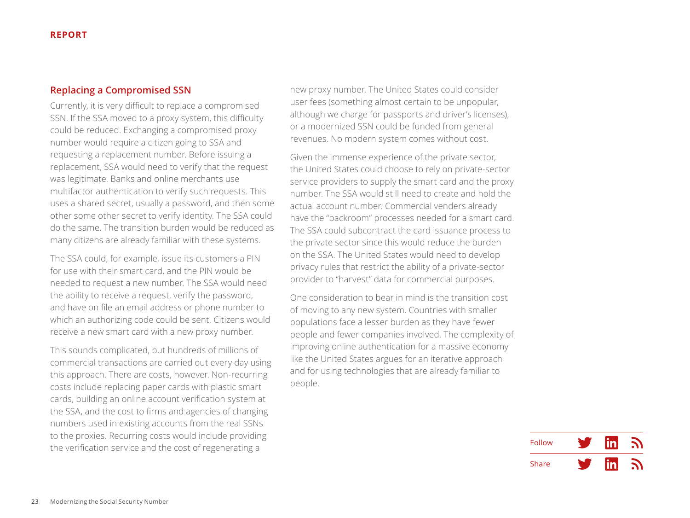# <span id="page-22-0"></span>**Replacing a Compromised SSN**

Currently, it is very difficult to replace a compromised SSN. If the SSA moved to a proxy system, this difficulty could be reduced. Exchanging a compromised proxy number would require a citizen going to SSA and requesting a replacement number. Before issuing a replacement, SSA would need to verify that the request was legitimate. Banks and online merchants use multifactor authentication to verify such requests. This uses a shared secret, usually a password, and then some other some other secret to verify identity. The SSA could do the same. The transition burden would be reduced as many citizens are already familiar with these systems.

The SSA could, for example, issue its customers a PIN for use with their smart card, and the PIN would be needed to request a new number. The SSA would need the ability to receive a request, verify the password, and have on file an email address or phone number to which an authorizing code could be sent. Citizens would receive a new smart card with a new proxy number.

This sounds complicated, but hundreds of millions of commercial transactions are carried out every day using this approach. There are costs, however. Non-recurring costs include replacing paper cards with plastic smart cards, building an online account verification system at the SSA, and the cost to firms and agencies of changing numbers used in existing accounts from the real SSNs to the proxies. Recurring costs would include providing the verification service and the cost of regenerating a

new proxy number. The United States could consider user fees (something almost certain to be unpopular, although we charge for passports and driver's licenses), or a modernized SSN could be funded from general revenues. No modern system comes without cost.

Given the immense experience of the private sector, the United States could choose to rely on private-sector service providers to supply the smart card and the proxy number. The SSA would still need to create and hold the actual account number. Commercial venders already have the "backroom" processes needed for a smart card. The SSA could subcontract the card issuance process to the private sector since this would reduce the burden on the SSA. The United States would need to develop privacy rules that restrict the ability of a private-sector provider to "harvest" data for commercial purposes.

One consideration to bear in mind is the transition cost of moving to any new system. Countries with smaller populations face a lesser burden as they have fewer people and fewer companies involved. The complexity of improving online authentication for a massive economy like the United States argues for an iterative approach and for using technologies that are already familiar to people.

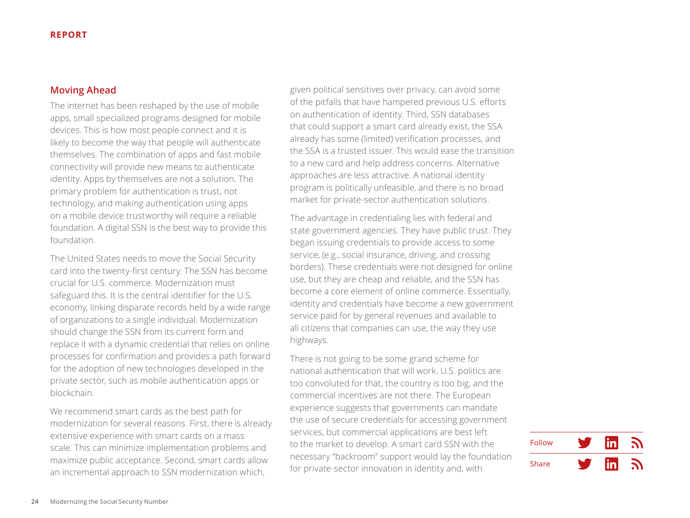# <span id="page-23-0"></span>**Moving Ahead**

The internet has been reshaped by the use of mobile apps, small specialized programs designed for mobile devices. This is how most people connect and it is likely to become the way that people will authenticate themselves. The combination of apps and fast mobile connectivity will provide new means to authenticate identity. Apps by themselves are not a solution. The primary problem for authentication is trust, not technology, and making authentication using apps on a mobile device trustworthy will require a reliable foundation. A digital SSN is the best way to provide this foundation.

The United States needs to move the Social Security card into the twenty-first century. The SSN has become crucial for U.S. commerce. Modernization must safeguard this. It is the central identifier for the U.S. economy, linking disparate records held by a wide range of organizations to a single individual. Modernization should change the SSN from its current form and replace it with a dynamic credential that relies on online processes for confirmation and provides a path forward for the adoption of new technologies developed in the private sector, such as mobile authentication apps or blockchain.

We recommend smart cards as the best path for modernization for several reasons. First, there is already extensive experience with smart cards on a mass scale. This can minimize implementation problems and maximize public acceptance. Second, smart cards allow an incremental approach to SSN modernization which,

given political sensitives over privacy, can avoid some of the pitfalls that have hampered previous U.S. efforts on authentication of identity. Third, SSN databases that could support a smart card already exist, the SSA already has some (limited) verification processes, and the SSA is a trusted issuer. This would ease the transition to a new card and help address concerns. Alternative approaches are less attractive. A national identity program is politically unfeasible, and there is no broad market for private-sector authentication solutions.

The advantage in credentialing lies with federal and state government agencies. They have public trust. They began issuing credentials to provide access to some service, (e.g., social insurance, driving, and crossing borders). These credentials were not designed for online use, but they are cheap and reliable, and the SSN has become a core element of online commerce. Essentially, identity and credentials have become a new government service paid for by general revenues and available to all citizens that companies can use, the way they use highways.

There is not going to be some grand scheme for national authentication that will work. U.S. politics are too convoluted for that, the country is too big, and the commercial incentives are not there. The European experience suggests that governments can mandate the use of secure credentials for accessing government services, but commercial applications are best left to the market to develop. A smart card SSN with the necessary "backroom" support would lay the foundation for private-sector innovation in identity and, with

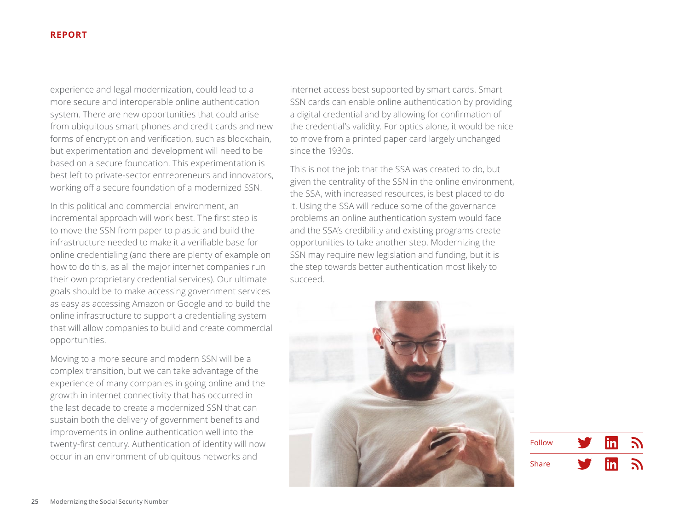experience and legal modernization, could lead to a more secure and interoperable online authentication system. There are new opportunities that could arise from ubiquitous smart phones and credit cards and new forms of encryption and verification, such as blockchain, but experimentation and development will need to be based on a secure foundation. This experimentation is best left to private-sector entrepreneurs and innovators, working off a secure foundation of a modernized SSN.

In this political and commercial environment, an incremental approach will work best. The first step is to move the SSN from paper to plastic and build the infrastructure needed to make it a verifiable base for online credentialing (and there are plenty of example on how to do this, as all the major internet companies run their own proprietary credential services). Our ultimate goals should be to make accessing government services as easy as accessing Amazon or Google and to build the online infrastructure to support a credentialing system that will allow companies to build and create commercial opportunities.

Moving to a more secure and modern SSN will be a complex transition, but we can take advantage of the experience of many companies in going online and the growth in internet connectivity that has occurred in the last decade to create a modernized SSN that can sustain both the delivery of government benefits and improvements in online authentication well into the twenty-first century. Authentication of identity will now occur in an environment of ubiquitous networks and

internet access best supported by smart cards. Smart SSN cards can enable online authentication by providing a digital credential and by allowing for confirmation of the credential's validity. For optics alone, it would be nice to move from a printed paper card largely unchanged since the 1930s.

This is not the job that the SSA was created to do, but given the centrality of the SSN in the online environment, the SSA, with increased resources, is best placed to do it. Using the SSA will reduce some of the governance problems an online authentication system would face and the SSA's credibility and existing programs create opportunities to take another step. Modernizing the SSN may require new legislation and funding, but it is the step towards better authentication most likely to succeed.